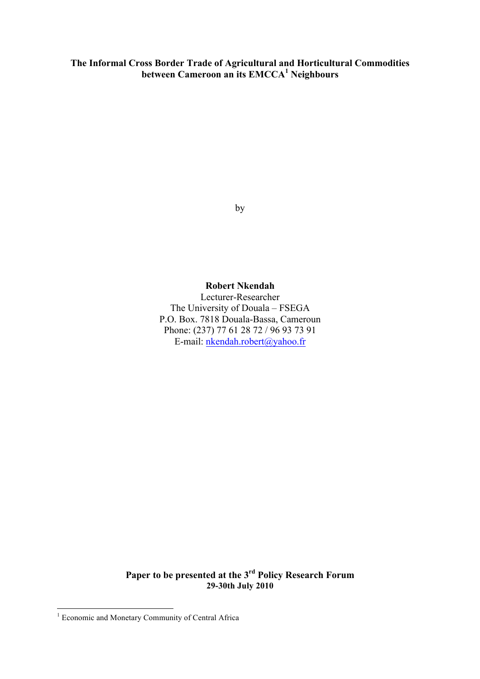**The Informal Cross Border Trade of Agricultural and Horticultural Commodities between Cameroon an its EMCCA<sup>1</sup> Neighbours**

by

#### **Robert Nkendah**

Lecturer-Researcher The University of Douala – FSEGA P.O. Box. 7818 Douala-Bassa, Cameroun Phone: (237) 77 61 28 72 / 96 93 73 91 E-mail: nkendah.robert@yahoo.fr

**Paper to be presented at the 3rd Policy Research Forum 29-30th July 2010**

 <sup>1</sup> Economic and Monetary Community of Central Africa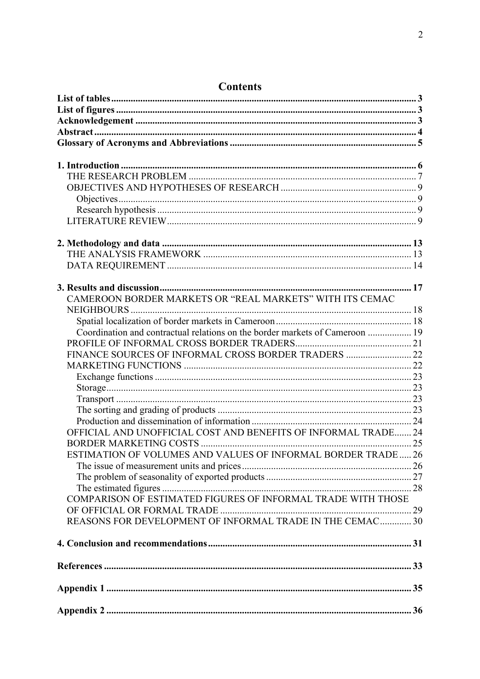| 17                                                                           |  |
|------------------------------------------------------------------------------|--|
| CAMEROON BORDER MARKETS OR "REAL MARKETS" WITH ITS CEMAC                     |  |
|                                                                              |  |
|                                                                              |  |
| Coordination and contractual relations on the border markets of Cameroon  19 |  |
|                                                                              |  |
| FINANCE SOURCES OF INFORMAL CROSS BORDER TRADERS  22                         |  |
|                                                                              |  |
|                                                                              |  |
|                                                                              |  |
|                                                                              |  |
|                                                                              |  |
|                                                                              |  |
|                                                                              |  |
| OFFICIAL AND UNOFFICIAL COST AND BENEFITS OF INFORMAL TRADE 24               |  |
|                                                                              |  |
| ESTIMATION OF VOLUMES AND VALUES OF INFORMAL BORDER TRADE 26                 |  |
|                                                                              |  |
|                                                                              |  |
|                                                                              |  |
| COMPARISON OF ESTIMATED FIGURES OF INFORMAL TRADE WITH THOSE                 |  |
|                                                                              |  |
| REASONS FOR DEVELOPMENT OF INFORMAL TRADE IN THE CEMAC 30                    |  |
|                                                                              |  |
|                                                                              |  |
|                                                                              |  |
|                                                                              |  |
|                                                                              |  |
|                                                                              |  |
|                                                                              |  |
|                                                                              |  |

# Contents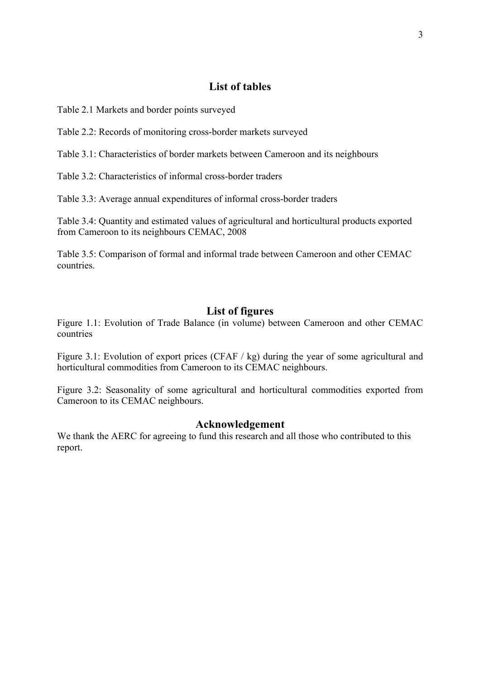# **List of tables**

Table 2.1 Markets and border points surveyed

Table 2.2: Records of monitoring cross-border markets surveyed

Table 3.1: Characteristics of border markets between Cameroon and its neighbours

Table 3.2: Characteristics of informal cross-border traders

Table 3.3: Average annual expenditures of informal cross-border traders

Table 3.4: Quantity and estimated values of agricultural and horticultural products exported from Cameroon to its neighbours CEMAC, 2008

Table 3.5: Comparison of formal and informal trade between Cameroon and other CEMAC countries.

#### **List of figures**

Figure 1.1: Evolution of Trade Balance (in volume) between Cameroon and other CEMAC countries

Figure 3.1: Evolution of export prices (CFAF / kg) during the year of some agricultural and horticultural commodities from Cameroon to its CEMAC neighbours.

Figure 3.2: Seasonality of some agricultural and horticultural commodities exported from Cameroon to its CEMAC neighbours.

#### **Acknowledgement**

We thank the AERC for agreeing to fund this research and all those who contributed to this report.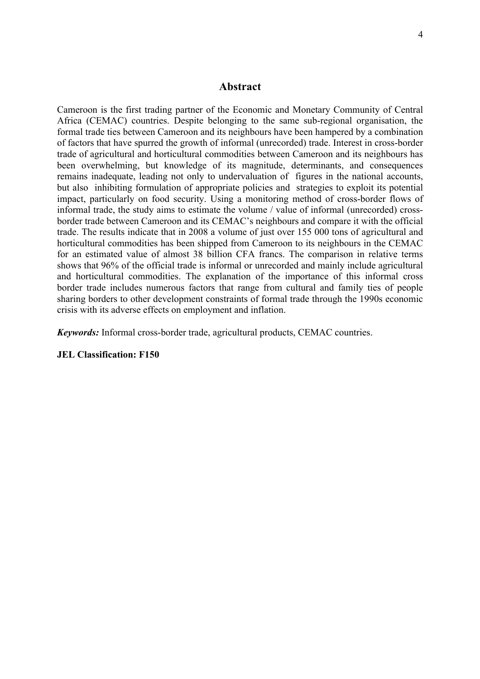#### **Abstract**

Cameroon is the first trading partner of the Economic and Monetary Community of Central Africa (CEMAC) countries. Despite belonging to the same sub-regional organisation, the formal trade ties between Cameroon and its neighbours have been hampered by a combination of factors that have spurred the growth of informal (unrecorded) trade. Interest in cross-border trade of agricultural and horticultural commodities between Cameroon and its neighbours has been overwhelming, but knowledge of its magnitude, determinants, and consequences remains inadequate, leading not only to undervaluation of figures in the national accounts, but also inhibiting formulation of appropriate policies and strategies to exploit its potential impact, particularly on food security. Using a monitoring method of cross-border flows of informal trade, the study aims to estimate the volume / value of informal (unrecorded) crossborder trade between Cameroon and its CEMAC's neighbours and compare it with the official trade. The results indicate that in 2008 a volume of just over 155 000 tons of agricultural and horticultural commodities has been shipped from Cameroon to its neighbours in the CEMAC for an estimated value of almost 38 billion CFA francs. The comparison in relative terms shows that 96% of the official trade is informal or unrecorded and mainly include agricultural and horticultural commodities. The explanation of the importance of this informal cross border trade includes numerous factors that range from cultural and family ties of people sharing borders to other development constraints of formal trade through the 1990s economic crisis with its adverse effects on employment and inflation.

*Keywords:* Informal cross-border trade, agricultural products, CEMAC countries.

#### **JEL Classification: F150**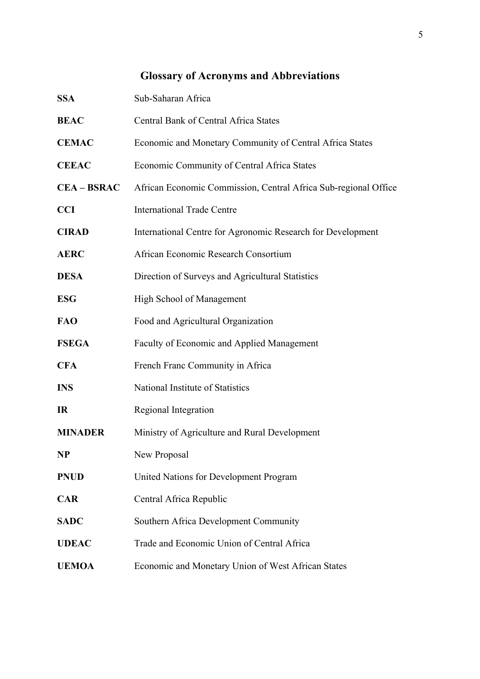# **Glossary of Acronyms and Abbreviations**

| <b>SSA</b>       | Sub-Saharan Africa                                              |
|------------------|-----------------------------------------------------------------|
| <b>BEAC</b>      | Central Bank of Central Africa States                           |
| <b>CEMAC</b>     | Economic and Monetary Community of Central Africa States        |
| <b>CEEAC</b>     | Economic Community of Central Africa States                     |
| <b>CEA-BSRAC</b> | African Economic Commission, Central Africa Sub-regional Office |
| <b>CCI</b>       | <b>International Trade Centre</b>                               |
| <b>CIRAD</b>     | International Centre for Agronomic Research for Development     |
| <b>AERC</b>      | African Economic Research Consortium                            |
| <b>DESA</b>      | Direction of Surveys and Agricultural Statistics                |
| <b>ESG</b>       | High School of Management                                       |
| <b>FAO</b>       | Food and Agricultural Organization                              |
| <b>FSEGA</b>     | Faculty of Economic and Applied Management                      |
| <b>CFA</b>       | French Franc Community in Africa                                |
| <b>INS</b>       | National Institute of Statistics                                |
| IR               | Regional Integration                                            |
| <b>MINADER</b>   | Ministry of Agriculture and Rural Development                   |
| <b>NP</b>        | New Proposal                                                    |
| <b>PNUD</b>      | United Nations for Development Program                          |
| <b>CAR</b>       | Central Africa Republic                                         |
| <b>SADC</b>      | Southern Africa Development Community                           |
| <b>UDEAC</b>     | Trade and Economic Union of Central Africa                      |
| <b>UEMOA</b>     | Economic and Monetary Union of West African States              |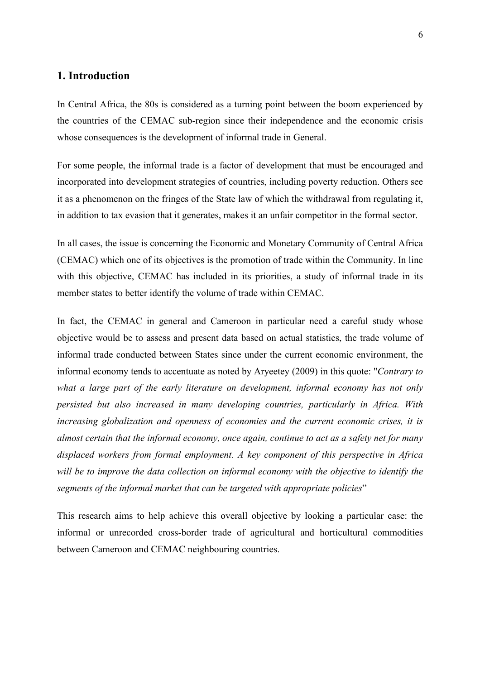### **1. Introduction**

In Central Africa, the 80s is considered as a turning point between the boom experienced by the countries of the CEMAC sub-region since their independence and the economic crisis whose consequences is the development of informal trade in General.

For some people, the informal trade is a factor of development that must be encouraged and incorporated into development strategies of countries, including poverty reduction. Others see it as a phenomenon on the fringes of the State law of which the withdrawal from regulating it, in addition to tax evasion that it generates, makes it an unfair competitor in the formal sector.

In all cases, the issue is concerning the Economic and Monetary Community of Central Africa (CEMAC) which one of its objectives is the promotion of trade within the Community. In line with this objective, CEMAC has included in its priorities, a study of informal trade in its member states to better identify the volume of trade within CEMAC.

In fact, the CEMAC in general and Cameroon in particular need a careful study whose objective would be to assess and present data based on actual statistics, the trade volume of informal trade conducted between States since under the current economic environment, the informal economy tends to accentuate as noted by Aryeetey (2009) in this quote: "*Contrary to what a large part of the early literature on development, informal economy has not only persisted but also increased in many developing countries, particularly in Africa. With increasing globalization and openness of economies and the current economic crises, it is almost certain that the informal economy, once again, continue to act as a safety net for many displaced workers from formal employment. A key component of this perspective in Africa will be to improve the data collection on informal economy with the objective to identify the segments of the informal market that can be targeted with appropriate policies*"

This research aims to help achieve this overall objective by looking a particular case: the informal or unrecorded cross-border trade of agricultural and horticultural commodities between Cameroon and CEMAC neighbouring countries.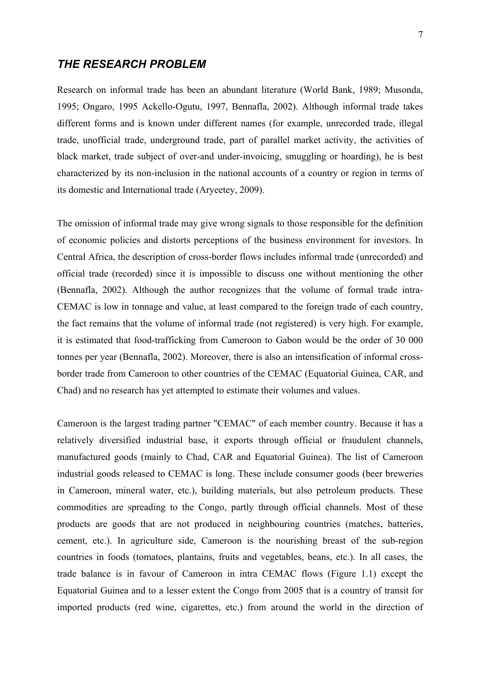### *THE RESEARCH PROBLEM*

Research on informal trade has been an abundant literature (World Bank, 1989; Musonda, 1995; Ongaro, 1995 Ackello-Ogutu, 1997, Bennafla, 2002). Although informal trade takes different forms and is known under different names (for example, unrecorded trade, illegal trade, unofficial trade, underground trade, part of parallel market activity, the activities of black market, trade subject of over-and under-invoicing, smuggling or hoarding), he is best characterized by its non-inclusion in the national accounts of a country or region in terms of its domestic and International trade (Aryeetey, 2009).

The omission of informal trade may give wrong signals to those responsible for the definition of economic policies and distorts perceptions of the business environment for investors. In Central Africa, the description of cross-border flows includes informal trade (unrecorded) and official trade (recorded) since it is impossible to discuss one without mentioning the other (Bennafla, 2002). Although the author recognizes that the volume of formal trade intra-CEMAC is low in tonnage and value, at least compared to the foreign trade of each country, the fact remains that the volume of informal trade (not registered) is very high. For example, it is estimated that food-trafficking from Cameroon to Gabon would be the order of 30 000 tonnes per year (Bennafla, 2002). Moreover, there is also an intensification of informal crossborder trade from Cameroon to other countries of the CEMAC (Equatorial Guinea, CAR, and Chad) and no research has yet attempted to estimate their volumes and values.

Cameroon is the largest trading partner "CEMAC" of each member country. Because it has a relatively diversified industrial base, it exports through official or fraudulent channels, manufactured goods (mainly to Chad, CAR and Equatorial Guinea). The list of Cameroon industrial goods released to CEMAC is long. These include consumer goods (beer breweries in Cameroon, mineral water, etc.), building materials, but also petroleum products. These commodities are spreading to the Congo, partly through official channels. Most of these products are goods that are not produced in neighbouring countries (matches, batteries, cement, etc.). In agriculture side, Cameroon is the nourishing breast of the sub-region countries in foods (tomatoes, plantains, fruits and vegetables, beans, etc.). In all cases, the trade balance is in favour of Cameroon in intra CEMAC flows (Figure 1.1) except the Equatorial Guinea and to a lesser extent the Congo from 2005 that is a country of transit for imported products (red wine, cigarettes, etc.) from around the world in the direction of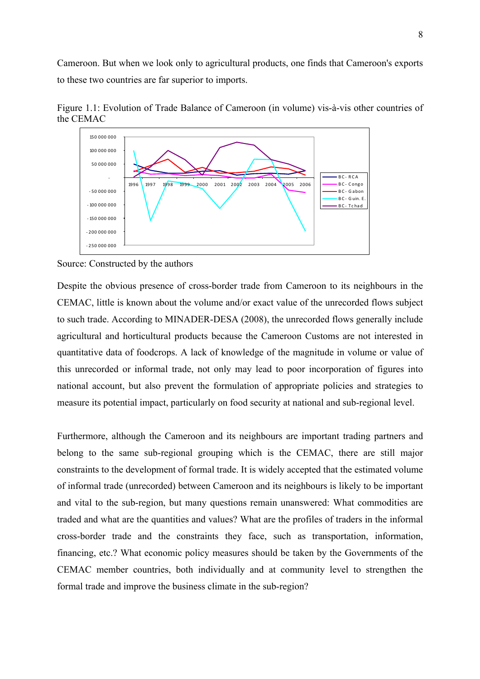Cameroon. But when we look only to agricultural products, one finds that Cameroon's exports to these two countries are far superior to imports.



Figure 1.1: Evolution of Trade Balance of Cameroon (in volume) vis-à-vis other countries of the CEMAC

Despite the obvious presence of cross-border trade from Cameroon to its neighbours in the CEMAC, little is known about the volume and/or exact value of the unrecorded flows subject to such trade. According to MINADER-DESA (2008), the unrecorded flows generally include agricultural and horticultural products because the Cameroon Customs are not interested in quantitative data of foodcrops. A lack of knowledge of the magnitude in volume or value of this unrecorded or informal trade, not only may lead to poor incorporation of figures into national account, but also prevent the formulation of appropriate policies and strategies to measure its potential impact, particularly on food security at national and sub-regional level.

Furthermore, although the Cameroon and its neighbours are important trading partners and belong to the same sub-regional grouping which is the CEMAC, there are still major constraints to the development of formal trade. It is widely accepted that the estimated volume of informal trade (unrecorded) between Cameroon and its neighbours is likely to be important and vital to the sub-region, but many questions remain unanswered: What commodities are traded and what are the quantities and values? What are the profiles of traders in the informal cross-border trade and the constraints they face, such as transportation, information, financing, etc.? What economic policy measures should be taken by the Governments of the CEMAC member countries, both individually and at community level to strengthen the formal trade and improve the business climate in the sub-region?

Source: Constructed by the authors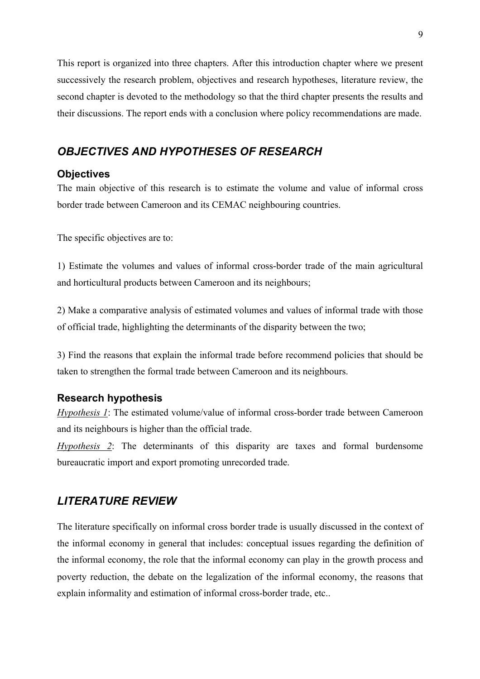This report is organized into three chapters. After this introduction chapter where we present successively the research problem, objectives and research hypotheses, literature review, the second chapter is devoted to the methodology so that the third chapter presents the results and their discussions. The report ends with a conclusion where policy recommendations are made.

# *OBJECTIVES AND HYPOTHESES OF RESEARCH*

#### **Objectives**

The main objective of this research is to estimate the volume and value of informal cross border trade between Cameroon and its CEMAC neighbouring countries.

The specific objectives are to:

1) Estimate the volumes and values of informal cross-border trade of the main agricultural and horticultural products between Cameroon and its neighbours;

2) Make a comparative analysis of estimated volumes and values of informal trade with those of official trade, highlighting the determinants of the disparity between the two;

3) Find the reasons that explain the informal trade before recommend policies that should be taken to strengthen the formal trade between Cameroon and its neighbours.

#### **Research hypothesis**

*Hypothesis 1*: The estimated volume/value of informal cross-border trade between Cameroon and its neighbours is higher than the official trade.

*Hypothesis 2*: The determinants of this disparity are taxes and formal burdensome bureaucratic import and export promoting unrecorded trade.

# *LITERATURE REVIEW*

The literature specifically on informal cross border trade is usually discussed in the context of the informal economy in general that includes: conceptual issues regarding the definition of the informal economy, the role that the informal economy can play in the growth process and poverty reduction, the debate on the legalization of the informal economy, the reasons that explain informality and estimation of informal cross-border trade, etc..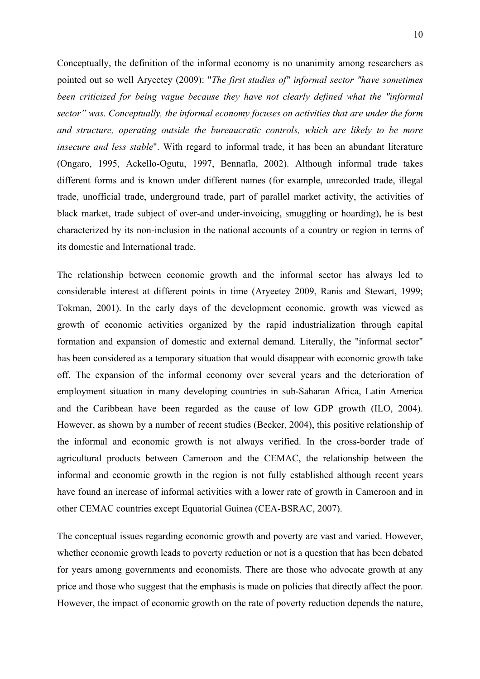Conceptually, the definition of the informal economy is no unanimity among researchers as pointed out so well Aryeetey (2009): "*The first studies of" informal sector "have sometimes been criticized for being vague because they have not clearly defined what the "informal sector" was. Conceptually, the informal economy focuses on activities that are under the form and structure, operating outside the bureaucratic controls, which are likely to be more insecure and less stable*". With regard to informal trade, it has been an abundant literature (Ongaro, 1995, Ackello-Ogutu, 1997, Bennafla, 2002). Although informal trade takes different forms and is known under different names (for example, unrecorded trade, illegal trade, unofficial trade, underground trade, part of parallel market activity, the activities of black market, trade subject of over-and under-invoicing, smuggling or hoarding), he is best characterized by its non-inclusion in the national accounts of a country or region in terms of its domestic and International trade.

The relationship between economic growth and the informal sector has always led to considerable interest at different points in time (Aryeetey 2009, Ranis and Stewart, 1999; Tokman, 2001). In the early days of the development economic, growth was viewed as growth of economic activities organized by the rapid industrialization through capital formation and expansion of domestic and external demand. Literally, the "informal sector" has been considered as a temporary situation that would disappear with economic growth take off. The expansion of the informal economy over several years and the deterioration of employment situation in many developing countries in sub-Saharan Africa, Latin America and the Caribbean have been regarded as the cause of low GDP growth (ILO, 2004). However, as shown by a number of recent studies (Becker, 2004), this positive relationship of the informal and economic growth is not always verified. In the cross-border trade of agricultural products between Cameroon and the CEMAC, the relationship between the informal and economic growth in the region is not fully established although recent years have found an increase of informal activities with a lower rate of growth in Cameroon and in other CEMAC countries except Equatorial Guinea (CEA-BSRAC, 2007).

The conceptual issues regarding economic growth and poverty are vast and varied. However, whether economic growth leads to poverty reduction or not is a question that has been debated for years among governments and economists. There are those who advocate growth at any price and those who suggest that the emphasis is made on policies that directly affect the poor. However, the impact of economic growth on the rate of poverty reduction depends the nature,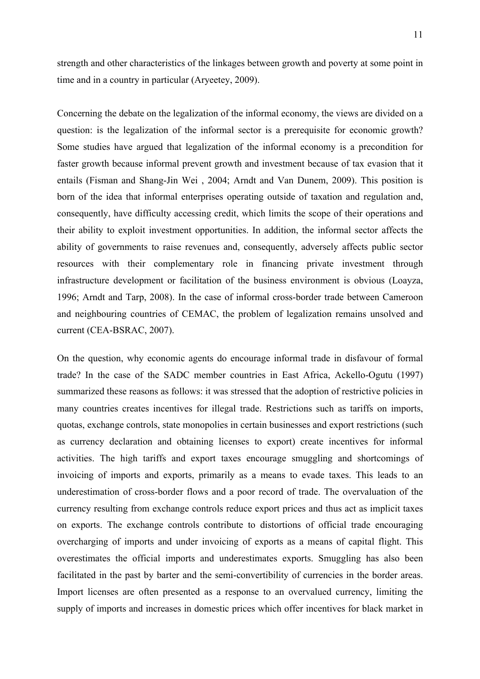strength and other characteristics of the linkages between growth and poverty at some point in time and in a country in particular (Aryeetey, 2009).

Concerning the debate on the legalization of the informal economy, the views are divided on a question: is the legalization of the informal sector is a prerequisite for economic growth? Some studies have argued that legalization of the informal economy is a precondition for faster growth because informal prevent growth and investment because of tax evasion that it entails (Fisman and Shang-Jin Wei , 2004; Arndt and Van Dunem, 2009). This position is born of the idea that informal enterprises operating outside of taxation and regulation and, consequently, have difficulty accessing credit, which limits the scope of their operations and their ability to exploit investment opportunities. In addition, the informal sector affects the ability of governments to raise revenues and, consequently, adversely affects public sector resources with their complementary role in financing private investment through infrastructure development or facilitation of the business environment is obvious (Loayza, 1996; Arndt and Tarp, 2008). In the case of informal cross-border trade between Cameroon and neighbouring countries of CEMAC, the problem of legalization remains unsolved and current (CEA-BSRAC, 2007).

On the question, why economic agents do encourage informal trade in disfavour of formal trade? In the case of the SADC member countries in East Africa, Ackello-Ogutu (1997) summarized these reasons as follows: it was stressed that the adoption of restrictive policies in many countries creates incentives for illegal trade. Restrictions such as tariffs on imports, quotas, exchange controls, state monopolies in certain businesses and export restrictions (such as currency declaration and obtaining licenses to export) create incentives for informal activities. The high tariffs and export taxes encourage smuggling and shortcomings of invoicing of imports and exports, primarily as a means to evade taxes. This leads to an underestimation of cross-border flows and a poor record of trade. The overvaluation of the currency resulting from exchange controls reduce export prices and thus act as implicit taxes on exports. The exchange controls contribute to distortions of official trade encouraging overcharging of imports and under invoicing of exports as a means of capital flight. This overestimates the official imports and underestimates exports. Smuggling has also been facilitated in the past by barter and the semi-convertibility of currencies in the border areas. Import licenses are often presented as a response to an overvalued currency, limiting the supply of imports and increases in domestic prices which offer incentives for black market in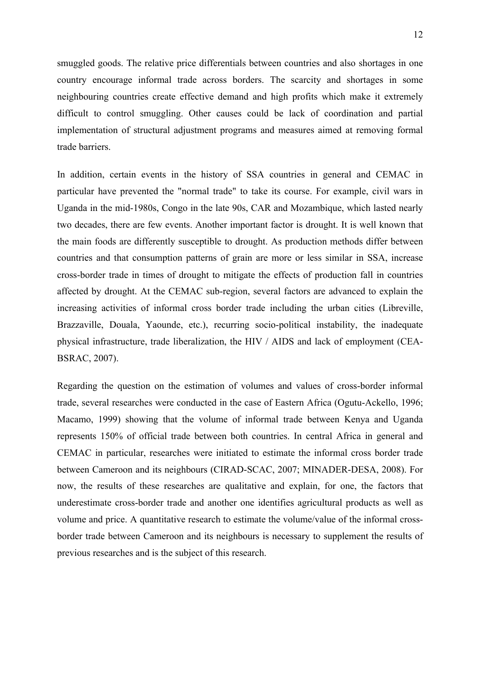smuggled goods. The relative price differentials between countries and also shortages in one country encourage informal trade across borders. The scarcity and shortages in some neighbouring countries create effective demand and high profits which make it extremely difficult to control smuggling. Other causes could be lack of coordination and partial implementation of structural adjustment programs and measures aimed at removing formal trade barriers.

In addition, certain events in the history of SSA countries in general and CEMAC in particular have prevented the "normal trade" to take its course. For example, civil wars in Uganda in the mid-1980s, Congo in the late 90s, CAR and Mozambique, which lasted nearly two decades, there are few events. Another important factor is drought. It is well known that the main foods are differently susceptible to drought. As production methods differ between countries and that consumption patterns of grain are more or less similar in SSA, increase cross-border trade in times of drought to mitigate the effects of production fall in countries affected by drought. At the CEMAC sub-region, several factors are advanced to explain the increasing activities of informal cross border trade including the urban cities (Libreville, Brazzaville, Douala, Yaounde, etc.), recurring socio-political instability, the inadequate physical infrastructure, trade liberalization, the HIV / AIDS and lack of employment (CEA-BSRAC, 2007).

Regarding the question on the estimation of volumes and values of cross-border informal trade, several researches were conducted in the case of Eastern Africa (Ogutu-Ackello, 1996; Macamo, 1999) showing that the volume of informal trade between Kenya and Uganda represents 150% of official trade between both countries. In central Africa in general and CEMAC in particular, researches were initiated to estimate the informal cross border trade between Cameroon and its neighbours (CIRAD-SCAC, 2007; MINADER-DESA, 2008). For now, the results of these researches are qualitative and explain, for one, the factors that underestimate cross-border trade and another one identifies agricultural products as well as volume and price. A quantitative research to estimate the volume/value of the informal crossborder trade between Cameroon and its neighbours is necessary to supplement the results of previous researches and is the subject of this research.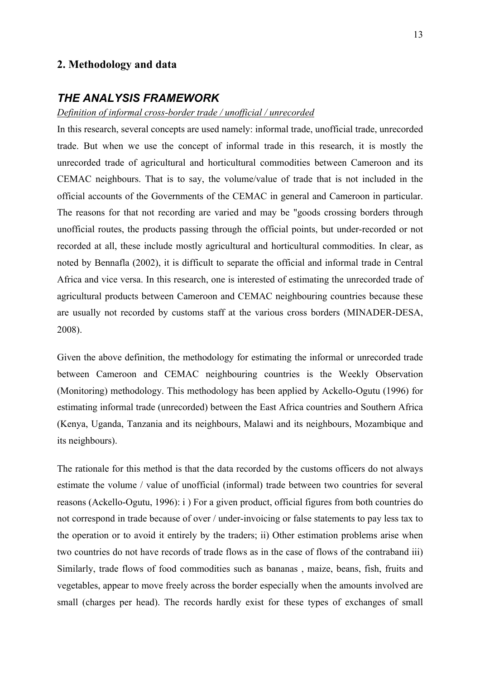### **2. Methodology and data**

### *THE ANALYSIS FRAMEWORK*

*Definition of informal cross-border trade / unofficial / unrecorded*

In this research, several concepts are used namely: informal trade, unofficial trade, unrecorded trade. But when we use the concept of informal trade in this research, it is mostly the unrecorded trade of agricultural and horticultural commodities between Cameroon and its CEMAC neighbours. That is to say, the volume/value of trade that is not included in the official accounts of the Governments of the CEMAC in general and Cameroon in particular. The reasons for that not recording are varied and may be "goods crossing borders through unofficial routes, the products passing through the official points, but under-recorded or not recorded at all, these include mostly agricultural and horticultural commodities. In clear, as noted by Bennafla (2002), it is difficult to separate the official and informal trade in Central Africa and vice versa. In this research, one is interested of estimating the unrecorded trade of agricultural products between Cameroon and CEMAC neighbouring countries because these are usually not recorded by customs staff at the various cross borders (MINADER-DESA, 2008).

Given the above definition, the methodology for estimating the informal or unrecorded trade between Cameroon and CEMAC neighbouring countries is the Weekly Observation (Monitoring) methodology. This methodology has been applied by Ackello-Ogutu (1996) for estimating informal trade (unrecorded) between the East Africa countries and Southern Africa (Kenya, Uganda, Tanzania and its neighbours, Malawi and its neighbours, Mozambique and its neighbours).

The rationale for this method is that the data recorded by the customs officers do not always estimate the volume / value of unofficial (informal) trade between two countries for several reasons (Ackello-Ogutu, 1996): i ) For a given product, official figures from both countries do not correspond in trade because of over / under-invoicing or false statements to pay less tax to the operation or to avoid it entirely by the traders; ii) Other estimation problems arise when two countries do not have records of trade flows as in the case of flows of the contraband iii) Similarly, trade flows of food commodities such as bananas , maize, beans, fish, fruits and vegetables, appear to move freely across the border especially when the amounts involved are small (charges per head). The records hardly exist for these types of exchanges of small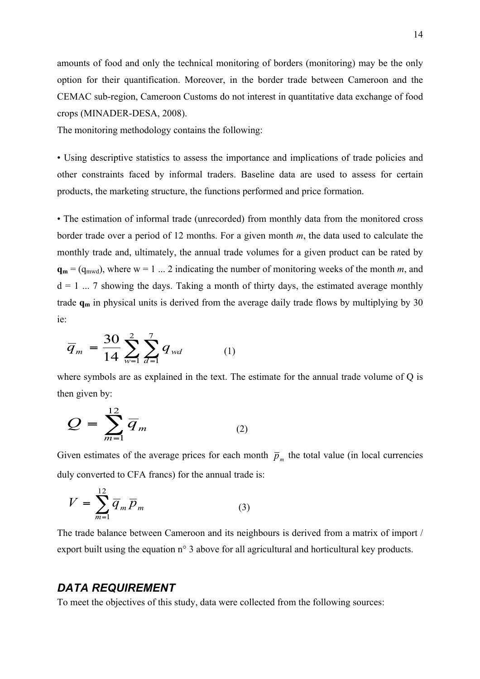amounts of food and only the technical monitoring of borders (monitoring) may be the only option for their quantification. Moreover, in the border trade between Cameroon and the CEMAC sub-region, Cameroon Customs do not interest in quantitative data exchange of food crops (MINADER-DESA, 2008).

The monitoring methodology contains the following:

• Using descriptive statistics to assess the importance and implications of trade policies and other constraints faced by informal traders. Baseline data are used to assess for certain products, the marketing structure, the functions performed and price formation.

• The estimation of informal trade (unrecorded) from monthly data from the monitored cross border trade over a period of 12 months. For a given month *m*, the data used to calculate the monthly trade and, ultimately, the annual trade volumes for a given product can be rated by  $\mathbf{q_m} = (q_{mwd})$ , where  $w = 1$  ... 2 indicating the number of monitoring weeks of the month *m*, and  $d = 1$  ... 7 showing the days. Taking a month of thirty days, the estimated average monthly trade  $q_m$  in physical units is derived from the average daily trade flows by multiplying by 30 ie:

$$
\overline{q}_m = \frac{30}{14} \sum_{w=1}^{2} \sum_{d=1}^{7} q_{wd} \tag{1}
$$

where symbols are as explained in the text. The estimate for the annual trade volume of Q is then given by:

$$
Q = \sum_{m=1}^{12} \overline{q}_m \tag{2}
$$

Given estimates of the average prices for each month  $\bar{p}_m$  the total value (in local currencies duly converted to CFA francs) for the annual trade is:

$$
V = \sum_{m=1}^{12} \overline{q}_m \overline{p}_m \tag{3}
$$

The trade balance between Cameroon and its neighbours is derived from a matrix of import / export built using the equation n<sup>o</sup> 3 above for all agricultural and horticultural key products.

### *DATA REQUIREMENT*

To meet the objectives of this study, data were collected from the following sources: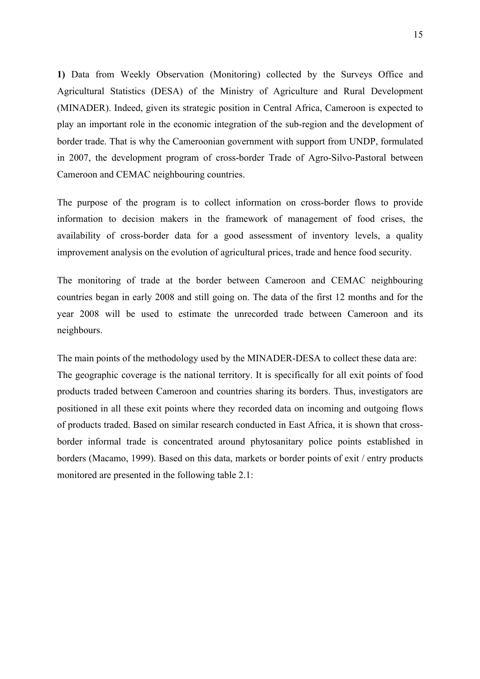**1)** Data from Weekly Observation (Monitoring) collected by the Surveys Office and Agricultural Statistics (DESA) of the Ministry of Agriculture and Rural Development (MINADER). Indeed, given its strategic position in Central Africa, Cameroon is expected to play an important role in the economic integration of the sub-region and the development of border trade. That is why the Cameroonian government with support from UNDP, formulated in 2007, the development program of cross-border Trade of Agro-Silvo-Pastoral between Cameroon and CEMAC neighbouring countries.

The purpose of the program is to collect information on cross-border flows to provide information to decision makers in the framework of management of food crises, the availability of cross-border data for a good assessment of inventory levels, a quality improvement analysis on the evolution of agricultural prices, trade and hence food security.

The monitoring of trade at the border between Cameroon and CEMAC neighbouring countries began in early 2008 and still going on. The data of the first 12 months and for the year 2008 will be used to estimate the unrecorded trade between Cameroon and its neighbours.

The main points of the methodology used by the MINADER-DESA to collect these data are: The geographic coverage is the national territory. It is specifically for all exit points of food products traded between Cameroon and countries sharing its borders. Thus, investigators are positioned in all these exit points where they recorded data on incoming and outgoing flows of products traded. Based on similar research conducted in East Africa, it is shown that crossborder informal trade is concentrated around phytosanitary police points established in borders (Macamo, 1999). Based on this data, markets or border points of exit / entry products monitored are presented in the following table 2.1: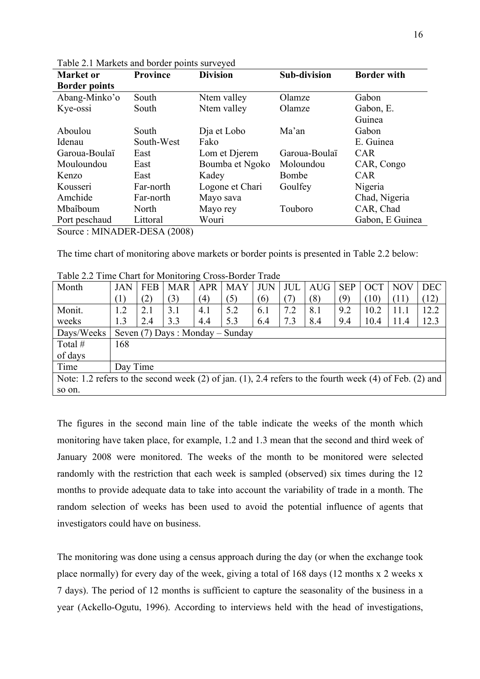| <b>Market</b> or                   | <b>Province</b> | <b>Division</b> | <b>Sub-division</b> | <b>Border with</b> |
|------------------------------------|-----------------|-----------------|---------------------|--------------------|
| <b>Border points</b>               |                 |                 |                     |                    |
| Abang-Minko'o                      | South           | Ntem valley     | Olamze              | Gabon              |
| Kye-ossi                           | South           | Ntem valley     | Olamze              | Gabon, E.          |
|                                    |                 |                 |                     | Guinea             |
| Aboulou                            | South           | Dja et Lobo     | Ma'an               | Gabon              |
| Idenau                             | South-West      | Fako            |                     | E. Guinea          |
| Garoua-Boulaï                      | East            | Lom et Djerem   | Garoua-Boulaï       | <b>CAR</b>         |
| Mouloundou                         | East            | Boumba et Ngoko | Moloundou           | CAR, Congo         |
| Kenzo                              | East            | Kadey           | Bombe               | <b>CAR</b>         |
| Kousseri                           | Far-north       | Logone et Chari | Goulfey             | Nigeria            |
| Amchide                            | Far-north       | Mayo sava       |                     | Chad, Nigeria      |
| Mbaîboum                           | North           | Mayo rey        | Touboro             | CAR, Chad          |
| Port peschaud                      | Littoral        | Wouri           |                     | Gabon, E Guinea    |
| $Source \cdot MINAPER-DFRA (2008)$ |                 |                 |                     |                    |

Table 2.1 Markets and border points surveyed

Source : MINADER-DESA (2008)

The time chart of monitoring above markets or border points is presented in Table 2.2 below:

| Month                                                                                                  | <b>JAN</b> | <b>FEB</b> | <b>MAR</b> | <b>APR</b> | <b>MAY</b>                      | <b>JUN</b> | <b>JUL</b> | <b>AUG</b> | <b>SEP</b> | <b>OCT</b> | <b>NOV</b> | <b>DEC</b> |
|--------------------------------------------------------------------------------------------------------|------------|------------|------------|------------|---------------------------------|------------|------------|------------|------------|------------|------------|------------|
|                                                                                                        | (1)        | (2)        | (3)        | (4)        | (5)                             | (6)        |            | (8)        | (9)        | (10)       | (11)       | (12)       |
| Monit.                                                                                                 | 1.2        | 2.1        | 3.1        | 4.1        | 5.2                             | 6.1        | 7.2        | 8.1        | 9.2        | 10.2       | 11.1       | 12.2       |
| weeks                                                                                                  | 1.3        | 2.4        | 3.3        | 4.4        | 5.3                             | 6.4        | 7.3        | 8.4        | 9.4        | 10.4       | 11.4       | 12.3       |
| Days/Weeks                                                                                             |            |            |            |            | Seven (7) Days: Monday – Sunday |            |            |            |            |            |            |            |
| Total $#$                                                                                              | 168        |            |            |            |                                 |            |            |            |            |            |            |            |
| of days                                                                                                |            |            |            |            |                                 |            |            |            |            |            |            |            |
| Time                                                                                                   | Day Time   |            |            |            |                                 |            |            |            |            |            |            |            |
| Note: 1.2 refers to the second week (2) of jan. (1), 2.4 refers to the fourth week (4) of Feb. (2) and |            |            |            |            |                                 |            |            |            |            |            |            |            |
| so on.                                                                                                 |            |            |            |            |                                 |            |            |            |            |            |            |            |

Table 2.2 Time Chart for Monitoring Cross-Border Trade

The figures in the second main line of the table indicate the weeks of the month which monitoring have taken place, for example, 1.2 and 1.3 mean that the second and third week of January 2008 were monitored. The weeks of the month to be monitored were selected randomly with the restriction that each week is sampled (observed) six times during the 12 months to provide adequate data to take into account the variability of trade in a month. The random selection of weeks has been used to avoid the potential influence of agents that investigators could have on business.

The monitoring was done using a census approach during the day (or when the exchange took place normally) for every day of the week, giving a total of 168 days (12 months x 2 weeks x 7 days). The period of 12 months is sufficient to capture the seasonality of the business in a year (Ackello-Ogutu, 1996). According to interviews held with the head of investigations,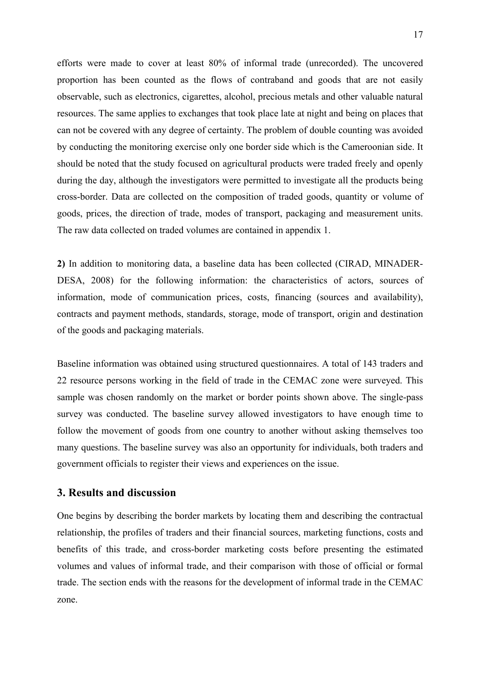efforts were made to cover at least 80% of informal trade (unrecorded). The uncovered proportion has been counted as the flows of contraband and goods that are not easily observable, such as electronics, cigarettes, alcohol, precious metals and other valuable natural resources. The same applies to exchanges that took place late at night and being on places that can not be covered with any degree of certainty. The problem of double counting was avoided by conducting the monitoring exercise only one border side which is the Cameroonian side. It should be noted that the study focused on agricultural products were traded freely and openly during the day, although the investigators were permitted to investigate all the products being cross-border. Data are collected on the composition of traded goods, quantity or volume of goods, prices, the direction of trade, modes of transport, packaging and measurement units. The raw data collected on traded volumes are contained in appendix 1.

**2)** In addition to monitoring data, a baseline data has been collected (CIRAD, MINADER-DESA, 2008) for the following information: the characteristics of actors, sources of information, mode of communication prices, costs, financing (sources and availability), contracts and payment methods, standards, storage, mode of transport, origin and destination of the goods and packaging materials.

Baseline information was obtained using structured questionnaires. A total of 143 traders and 22 resource persons working in the field of trade in the CEMAC zone were surveyed. This sample was chosen randomly on the market or border points shown above. The single-pass survey was conducted. The baseline survey allowed investigators to have enough time to follow the movement of goods from one country to another without asking themselves too many questions. The baseline survey was also an opportunity for individuals, both traders and government officials to register their views and experiences on the issue.

### **3. Results and discussion**

One begins by describing the border markets by locating them and describing the contractual relationship, the profiles of traders and their financial sources, marketing functions, costs and benefits of this trade, and cross-border marketing costs before presenting the estimated volumes and values of informal trade, and their comparison with those of official or formal trade. The section ends with the reasons for the development of informal trade in the CEMAC zone.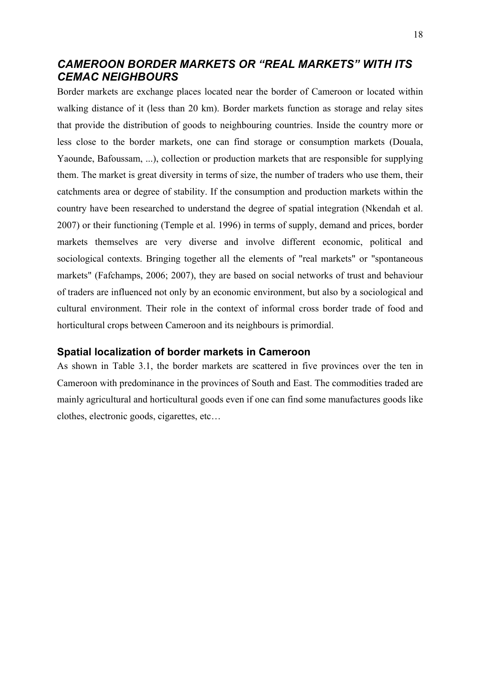## *CAMEROON BORDER MARKETS OR "REAL MARKETS" WITH ITS CEMAC NEIGHBOURS*

Border markets are exchange places located near the border of Cameroon or located within walking distance of it (less than 20 km). Border markets function as storage and relay sites that provide the distribution of goods to neighbouring countries. Inside the country more or less close to the border markets, one can find storage or consumption markets (Douala, Yaounde, Bafoussam, ...), collection or production markets that are responsible for supplying them. The market is great diversity in terms of size, the number of traders who use them, their catchments area or degree of stability. If the consumption and production markets within the country have been researched to understand the degree of spatial integration (Nkendah et al. 2007) or their functioning (Temple et al. 1996) in terms of supply, demand and prices, border markets themselves are very diverse and involve different economic, political and sociological contexts. Bringing together all the elements of "real markets" or "spontaneous markets" (Fafchamps, 2006; 2007), they are based on social networks of trust and behaviour of traders are influenced not only by an economic environment, but also by a sociological and cultural environment. Their role in the context of informal cross border trade of food and horticultural crops between Cameroon and its neighbours is primordial.

### **Spatial localization of border markets in Cameroon**

As shown in Table 3.1, the border markets are scattered in five provinces over the ten in Cameroon with predominance in the provinces of South and East. The commodities traded are mainly agricultural and horticultural goods even if one can find some manufactures goods like clothes, electronic goods, cigarettes, etc…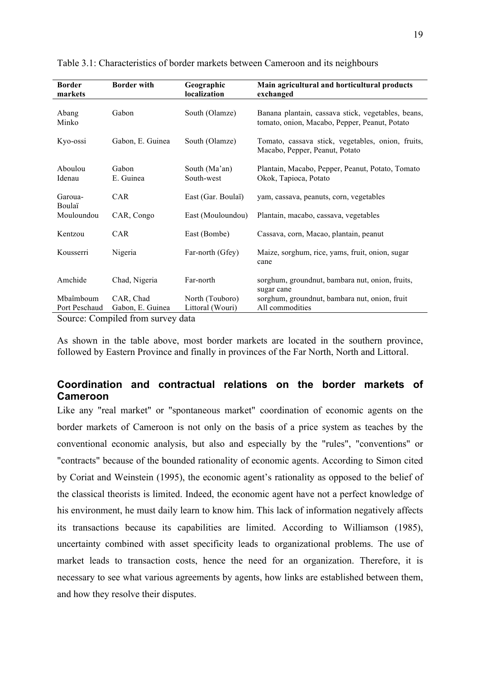| <b>Border</b><br>markets | <b>Border with</b> | Geographic<br>localization  | Main agricultural and horticultural products<br>exchanged                                           |
|--------------------------|--------------------|-----------------------------|-----------------------------------------------------------------------------------------------------|
| Abang<br>Minko           | Gabon              | South (Olamze)              | Banana plantain, cassava stick, vegetables, beans,<br>tomato, onion, Macabo, Pepper, Peanut, Potato |
| Kyo-ossi                 | Gabon, E. Guinea   | South (Olamze)              | Tomato, cassava stick, vegetables, onion, fruits,<br>Macabo, Pepper, Peanut, Potato                 |
| Aboulou<br>Idenau        | Gabon<br>E. Guinea | South (Ma'an)<br>South-west | Plantain, Macabo, Pepper, Peanut, Potato, Tomato<br>Okok, Tapioca, Potato                           |
| Garoua-                  | <b>CAR</b>         | East (Gar. Boulaï)          | yam, cassava, peanuts, corn, vegetables                                                             |
| Boulaï<br>Mouloundou     | CAR, Congo         | East (Mouloundou)           | Plantain, macabo, cassava, vegetables                                                               |
| Kentzou                  | CAR                | East (Bombe)                | Cassava, corn, Macao, plantain, peanut                                                              |
| Kousserri                | Nigeria            | Far-north (Gfey)            | Maize, sorghum, rice, yams, fruit, onion, sugar<br>cane                                             |
| Amchide                  | Chad, Nigeria      | Far-north                   | sorghum, groundnut, bambara nut, onion, fruits,<br>sugar cane                                       |
| Mbaîmboum                | CAR, Chad          | North (Touboro)             | sorghum, groundnut, bambara nut, onion, fruit                                                       |
| Port Peschaud            | Gabon, E. Guinea   | Littoral (Wouri)            | All commodities                                                                                     |

Table 3.1: Characteristics of border markets between Cameroon and its neighbours

Source: Compiled from survey data

As shown in the table above, most border markets are located in the southern province, followed by Eastern Province and finally in provinces of the Far North, North and Littoral.

# **Coordination and contractual relations on the border markets of Cameroon**

Like any "real market" or "spontaneous market" coordination of economic agents on the border markets of Cameroon is not only on the basis of a price system as teaches by the conventional economic analysis, but also and especially by the "rules", "conventions" or "contracts" because of the bounded rationality of economic agents. According to Simon cited by Coriat and Weinstein (1995), the economic agent's rationality as opposed to the belief of the classical theorists is limited. Indeed, the economic agent have not a perfect knowledge of his environment, he must daily learn to know him. This lack of information negatively affects its transactions because its capabilities are limited. According to Williamson (1985), uncertainty combined with asset specificity leads to organizational problems. The use of market leads to transaction costs, hence the need for an organization. Therefore, it is necessary to see what various agreements by agents, how links are established between them, and how they resolve their disputes.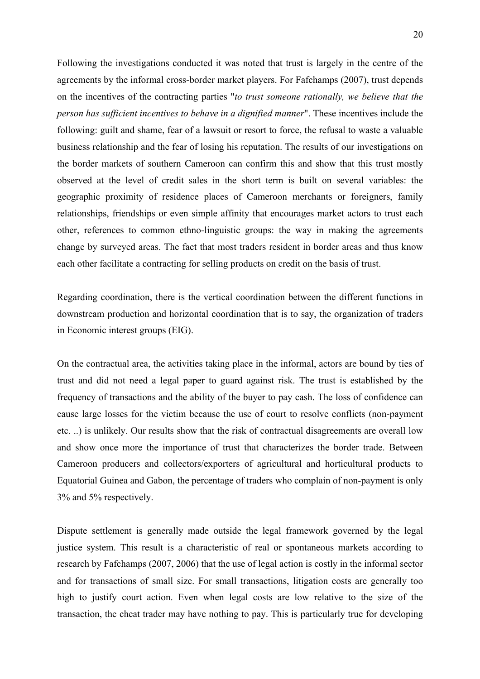Following the investigations conducted it was noted that trust is largely in the centre of the agreements by the informal cross-border market players. For Fafchamps (2007), trust depends on the incentives of the contracting parties "*to trust someone rationally, we believe that the person has sufficient incentives to behave in a dignified manner*". These incentives include the following: guilt and shame, fear of a lawsuit or resort to force, the refusal to waste a valuable business relationship and the fear of losing his reputation. The results of our investigations on the border markets of southern Cameroon can confirm this and show that this trust mostly observed at the level of credit sales in the short term is built on several variables: the geographic proximity of residence places of Cameroon merchants or foreigners, family relationships, friendships or even simple affinity that encourages market actors to trust each other, references to common ethno-linguistic groups: the way in making the agreements change by surveyed areas. The fact that most traders resident in border areas and thus know each other facilitate a contracting for selling products on credit on the basis of trust.

Regarding coordination, there is the vertical coordination between the different functions in downstream production and horizontal coordination that is to say, the organization of traders in Economic interest groups (EIG).

On the contractual area, the activities taking place in the informal, actors are bound by ties of trust and did not need a legal paper to guard against risk. The trust is established by the frequency of transactions and the ability of the buyer to pay cash. The loss of confidence can cause large losses for the victim because the use of court to resolve conflicts (non-payment etc. ..) is unlikely. Our results show that the risk of contractual disagreements are overall low and show once more the importance of trust that characterizes the border trade. Between Cameroon producers and collectors/exporters of agricultural and horticultural products to Equatorial Guinea and Gabon, the percentage of traders who complain of non-payment is only 3% and 5% respectively.

Dispute settlement is generally made outside the legal framework governed by the legal justice system. This result is a characteristic of real or spontaneous markets according to research by Fafchamps (2007, 2006) that the use of legal action is costly in the informal sector and for transactions of small size. For small transactions, litigation costs are generally too high to justify court action. Even when legal costs are low relative to the size of the transaction, the cheat trader may have nothing to pay. This is particularly true for developing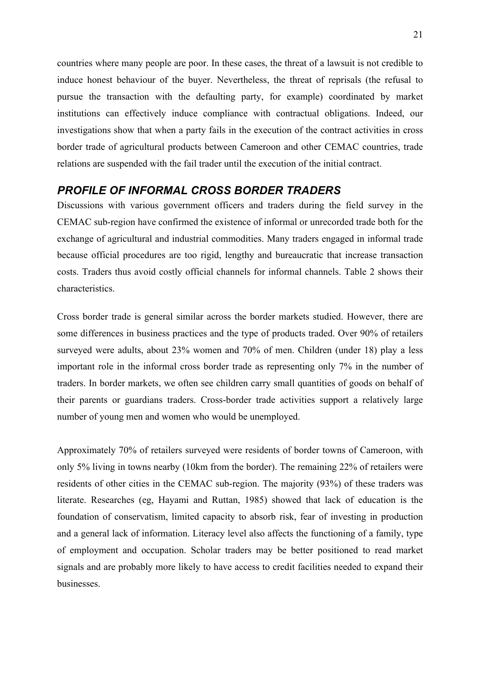countries where many people are poor. In these cases, the threat of a lawsuit is not credible to induce honest behaviour of the buyer. Nevertheless, the threat of reprisals (the refusal to pursue the transaction with the defaulting party, for example) coordinated by market institutions can effectively induce compliance with contractual obligations. Indeed, our investigations show that when a party fails in the execution of the contract activities in cross border trade of agricultural products between Cameroon and other CEMAC countries, trade relations are suspended with the fail trader until the execution of the initial contract.

# *PROFILE OF INFORMAL CROSS BORDER TRADERS*

Discussions with various government officers and traders during the field survey in the CEMAC sub-region have confirmed the existence of informal or unrecorded trade both for the exchange of agricultural and industrial commodities. Many traders engaged in informal trade because official procedures are too rigid, lengthy and bureaucratic that increase transaction costs. Traders thus avoid costly official channels for informal channels. Table 2 shows their characteristics.

Cross border trade is general similar across the border markets studied. However, there are some differences in business practices and the type of products traded. Over 90% of retailers surveyed were adults, about 23% women and 70% of men. Children (under 18) play a less important role in the informal cross border trade as representing only 7% in the number of traders. In border markets, we often see children carry small quantities of goods on behalf of their parents or guardians traders. Cross-border trade activities support a relatively large number of young men and women who would be unemployed.

Approximately 70% of retailers surveyed were residents of border towns of Cameroon, with only 5% living in towns nearby (10km from the border). The remaining 22% of retailers were residents of other cities in the CEMAC sub-region. The majority (93%) of these traders was literate. Researches (eg, Hayami and Ruttan, 1985) showed that lack of education is the foundation of conservatism, limited capacity to absorb risk, fear of investing in production and a general lack of information. Literacy level also affects the functioning of a family, type of employment and occupation. Scholar traders may be better positioned to read market signals and are probably more likely to have access to credit facilities needed to expand their businesses.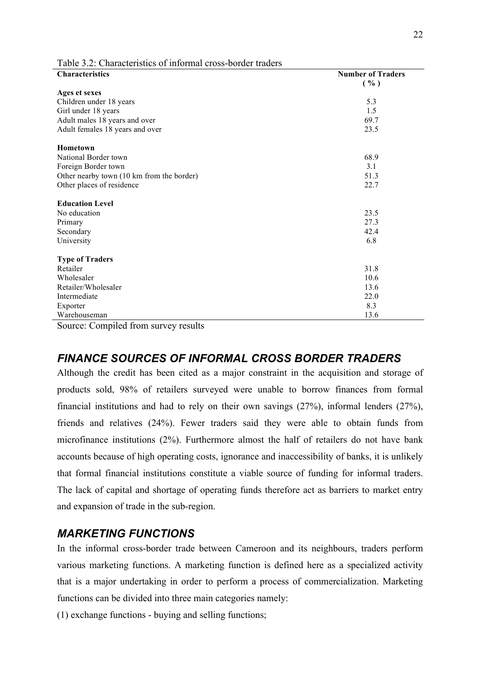| $\blacksquare$ . Characteristics of hhominal eross coraer had<br><b>Characteristics</b> | <b>Number of Traders</b> |
|-----------------------------------------------------------------------------------------|--------------------------|
|                                                                                         | ( %)                     |
| Ages et sexes                                                                           |                          |
| Children under 18 years                                                                 | 5.3                      |
| Girl under 18 years                                                                     | 1.5                      |
| Adult males 18 years and over                                                           | 69.7                     |
| Adult females 18 years and over                                                         | 23.5                     |
| <b>Hometown</b>                                                                         |                          |
| National Border town                                                                    | 68.9                     |
| Foreign Border town                                                                     | 3.1                      |
| Other nearby town (10 km from the border)                                               | 51.3                     |
| Other places of residence                                                               | 22.7                     |
| <b>Education Level</b>                                                                  |                          |
| No education                                                                            | 23.5                     |
| Primary                                                                                 | 27.3                     |
| Secondary                                                                               | 42.4                     |
| University                                                                              | 6.8                      |
| <b>Type of Traders</b>                                                                  |                          |
| Retailer                                                                                | 31.8                     |
| Wholesaler                                                                              | 10.6                     |
| Retailer/Wholesaler                                                                     | 13.6                     |
| Intermediate                                                                            | 22.0                     |
| Exporter                                                                                | 8.3                      |
| Warehouseman                                                                            | 13.6                     |

Table 3.2: Characteristics of informal cross-border traders

Source: Compiled from survey results

# *FINANCE SOURCES OF INFORMAL CROSS BORDER TRADERS*

Although the credit has been cited as a major constraint in the acquisition and storage of products sold, 98% of retailers surveyed were unable to borrow finances from formal financial institutions and had to rely on their own savings (27%), informal lenders (27%), friends and relatives (24%). Fewer traders said they were able to obtain funds from microfinance institutions (2%). Furthermore almost the half of retailers do not have bank accounts because of high operating costs, ignorance and inaccessibility of banks, it is unlikely that formal financial institutions constitute a viable source of funding for informal traders. The lack of capital and shortage of operating funds therefore act as barriers to market entry and expansion of trade in the sub-region.

### *MARKETING FUNCTIONS*

In the informal cross-border trade between Cameroon and its neighbours, traders perform various marketing functions. A marketing function is defined here as a specialized activity that is a major undertaking in order to perform a process of commercialization. Marketing functions can be divided into three main categories namely:

(1) exchange functions - buying and selling functions;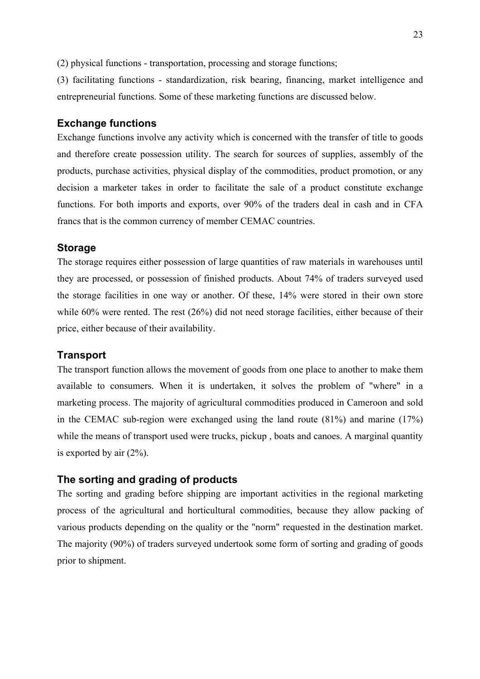(2) physical functions - transportation, processing and storage functions;

(3) facilitating functions - standardization, risk bearing, financing, market intelligence and entrepreneurial functions. Some of these marketing functions are discussed below.

### **Exchange functions**

Exchange functions involve any activity which is concerned with the transfer of title to goods and therefore create possession utility. The search for sources of supplies, assembly of the products, purchase activities, physical display of the commodities, product promotion, or any decision a marketer takes in order to facilitate the sale of a product constitute exchange functions. For both imports and exports, over 90% of the traders deal in cash and in CFA francs that is the common currency of member CEMAC countries.

#### **Storage**

The storage requires either possession of large quantities of raw materials in warehouses until they are processed, or possession of finished products. About 74% of traders surveyed used the storage facilities in one way or another. Of these, 14% were stored in their own store while 60% were rented. The rest (26%) did not need storage facilities, either because of their price, either because of their availability.

#### **Transport**

The transport function allows the movement of goods from one place to another to make them available to consumers. When it is undertaken, it solves the problem of "where" in a marketing process. The majority of agricultural commodities produced in Cameroon and sold in the CEMAC sub-region were exchanged using the land route (81%) and marine (17%) while the means of transport used were trucks, pickup, boats and canoes. A marginal quantity is exported by air (2%).

#### **The sorting and grading of products**

The sorting and grading before shipping are important activities in the regional marketing process of the agricultural and horticultural commodities, because they allow packing of various products depending on the quality or the "norm" requested in the destination market. The majority (90%) of traders surveyed undertook some form of sorting and grading of goods prior to shipment.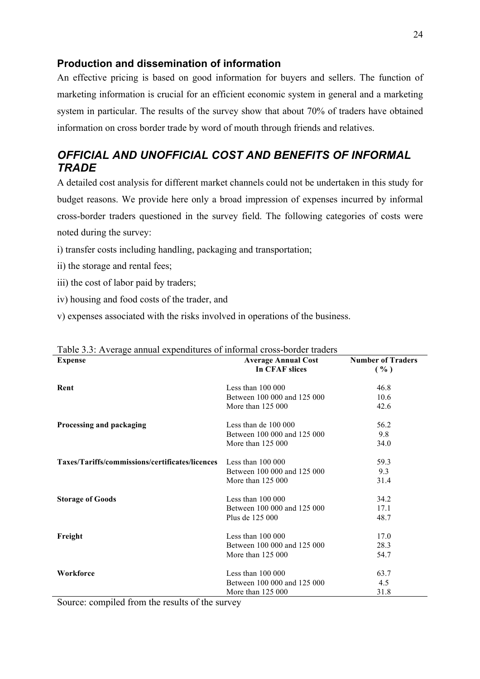### **Production and dissemination of information**

An effective pricing is based on good information for buyers and sellers. The function of marketing information is crucial for an efficient economic system in general and a marketing system in particular. The results of the survey show that about 70% of traders have obtained information on cross border trade by word of mouth through friends and relatives.

# *OFFICIAL AND UNOFFICIAL COST AND BENEFITS OF INFORMAL TRADE*

A detailed cost analysis for different market channels could not be undertaken in this study for budget reasons. We provide here only a broad impression of expenses incurred by informal cross-border traders questioned in the survey field. The following categories of costs were noted during the survey:

- i) transfer costs including handling, packaging and transportation;
- ii) the storage and rental fees;
- iii) the cost of labor paid by traders;
- iv) housing and food costs of the trader, and
- v) expenses associated with the risks involved in operations of the business.

| $\ldots$<br><b>Expense</b>                                        | <b>Average Annual Cost</b>  | <b>Number of Traders</b> |
|-------------------------------------------------------------------|-----------------------------|--------------------------|
|                                                                   | In CFAF slices              | ( %)                     |
| Rent                                                              | Less than $100000$          | 46.8                     |
|                                                                   | Between 100 000 and 125 000 | 10.6                     |
|                                                                   | More than 125 000           | 42.6                     |
| Processing and packaging                                          | Less than de $100000$       | 56.2                     |
|                                                                   | Between 100 000 and 125 000 | 9.8                      |
|                                                                   | More than 125 000           | 34.0                     |
| Taxes/Tariffs/commissions/certificates/licences Less than 100 000 |                             | 59.3                     |
|                                                                   | Between 100 000 and 125 000 | 9.3                      |
|                                                                   | More than 125 000           | 31.4                     |
| <b>Storage of Goods</b>                                           | Less than $100000$          | 34.2                     |
|                                                                   | Between 100 000 and 125 000 | 17.1                     |
|                                                                   | Plus de 125 000             | 48.7                     |
| Freight                                                           | Less than $100000$          | 17.0                     |
|                                                                   | Between 100 000 and 125 000 | 28.3                     |
|                                                                   | More than 125 000           | 54.7                     |
| Workforce                                                         | Less than $100000$          | 63.7                     |
|                                                                   | Between 100 000 and 125 000 | 4.5                      |
|                                                                   | More than $125000$          | 31.8                     |

#### Table 3.3: Average annual expenditures of informal cross-border traders

Source: compiled from the results of the survey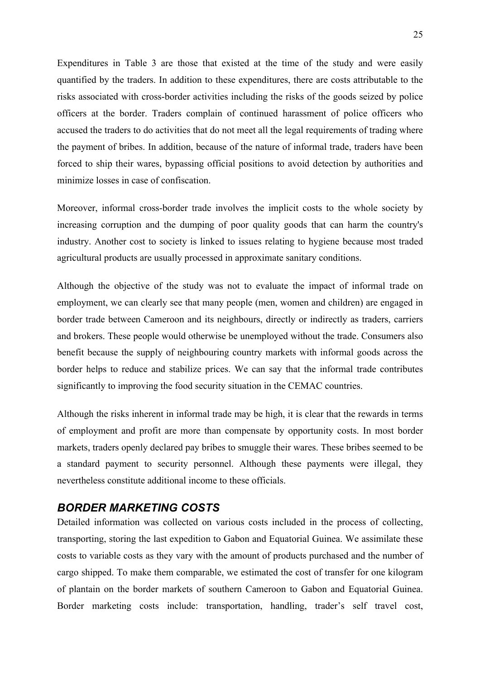Expenditures in Table 3 are those that existed at the time of the study and were easily quantified by the traders. In addition to these expenditures, there are costs attributable to the risks associated with cross-border activities including the risks of the goods seized by police officers at the border. Traders complain of continued harassment of police officers who accused the traders to do activities that do not meet all the legal requirements of trading where the payment of bribes. In addition, because of the nature of informal trade, traders have been forced to ship their wares, bypassing official positions to avoid detection by authorities and minimize losses in case of confiscation.

Moreover, informal cross-border trade involves the implicit costs to the whole society by increasing corruption and the dumping of poor quality goods that can harm the country's industry. Another cost to society is linked to issues relating to hygiene because most traded agricultural products are usually processed in approximate sanitary conditions.

Although the objective of the study was not to evaluate the impact of informal trade on employment, we can clearly see that many people (men, women and children) are engaged in border trade between Cameroon and its neighbours, directly or indirectly as traders, carriers and brokers. These people would otherwise be unemployed without the trade. Consumers also benefit because the supply of neighbouring country markets with informal goods across the border helps to reduce and stabilize prices. We can say that the informal trade contributes significantly to improving the food security situation in the CEMAC countries.

Although the risks inherent in informal trade may be high, it is clear that the rewards in terms of employment and profit are more than compensate by opportunity costs. In most border markets, traders openly declared pay bribes to smuggle their wares. These bribes seemed to be a standard payment to security personnel. Although these payments were illegal, they nevertheless constitute additional income to these officials.

### *BORDER MARKETING COSTS*

Detailed information was collected on various costs included in the process of collecting, transporting, storing the last expedition to Gabon and Equatorial Guinea. We assimilate these costs to variable costs as they vary with the amount of products purchased and the number of cargo shipped. To make them comparable, we estimated the cost of transfer for one kilogram of plantain on the border markets of southern Cameroon to Gabon and Equatorial Guinea. Border marketing costs include: transportation, handling, trader's self travel cost,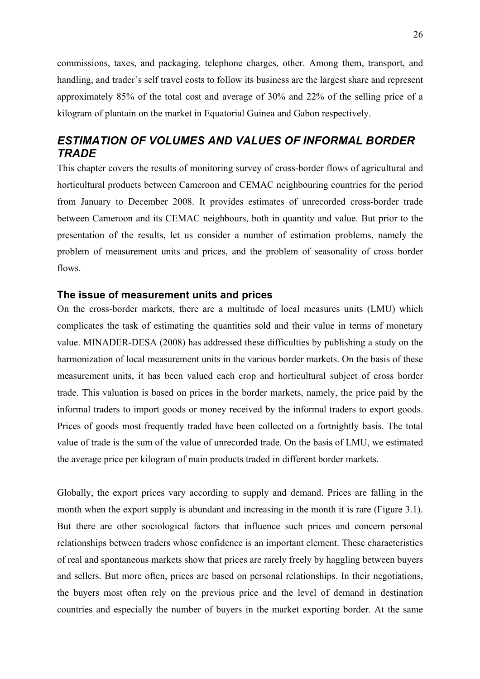commissions, taxes, and packaging, telephone charges, other. Among them, transport, and handling, and trader's self travel costs to follow its business are the largest share and represent approximately 85% of the total cost and average of 30% and 22% of the selling price of a kilogram of plantain on the market in Equatorial Guinea and Gabon respectively.

# *ESTIMATION OF VOLUMES AND VALUES OF INFORMAL BORDER TRADE*

This chapter covers the results of monitoring survey of cross-border flows of agricultural and horticultural products between Cameroon and CEMAC neighbouring countries for the period from January to December 2008. It provides estimates of unrecorded cross-border trade between Cameroon and its CEMAC neighbours, both in quantity and value. But prior to the presentation of the results, let us consider a number of estimation problems, namely the problem of measurement units and prices, and the problem of seasonality of cross border flows.

#### **The issue of measurement units and prices**

On the cross-border markets, there are a multitude of local measures units (LMU) which complicates the task of estimating the quantities sold and their value in terms of monetary value. MINADER-DESA (2008) has addressed these difficulties by publishing a study on the harmonization of local measurement units in the various border markets. On the basis of these measurement units, it has been valued each crop and horticultural subject of cross border trade. This valuation is based on prices in the border markets, namely, the price paid by the informal traders to import goods or money received by the informal traders to export goods. Prices of goods most frequently traded have been collected on a fortnightly basis. The total value of trade is the sum of the value of unrecorded trade. On the basis of LMU, we estimated the average price per kilogram of main products traded in different border markets.

Globally, the export prices vary according to supply and demand. Prices are falling in the month when the export supply is abundant and increasing in the month it is rare (Figure 3.1). But there are other sociological factors that influence such prices and concern personal relationships between traders whose confidence is an important element. These characteristics of real and spontaneous markets show that prices are rarely freely by haggling between buyers and sellers. But more often, prices are based on personal relationships. In their negotiations, the buyers most often rely on the previous price and the level of demand in destination countries and especially the number of buyers in the market exporting border. At the same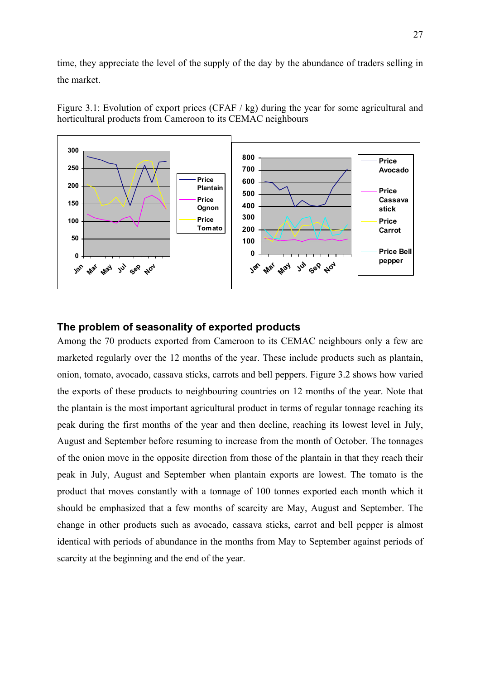time, they appreciate the level of the supply of the day by the abundance of traders selling in the market.



Figure 3.1: Evolution of export prices (CFAF / kg) during the year for some agricultural and horticultural products from Cameroon to its CEMAC neighbours

### **The problem of seasonality of exported products**

Among the 70 products exported from Cameroon to its CEMAC neighbours only a few are marketed regularly over the 12 months of the year. These include products such as plantain, onion, tomato, avocado, cassava sticks, carrots and bell peppers. Figure 3.2 shows how varied the exports of these products to neighbouring countries on 12 months of the year. Note that the plantain is the most important agricultural product in terms of regular tonnage reaching its peak during the first months of the year and then decline, reaching its lowest level in July, August and September before resuming to increase from the month of October. The tonnages of the onion move in the opposite direction from those of the plantain in that they reach their peak in July, August and September when plantain exports are lowest. The tomato is the product that moves constantly with a tonnage of 100 tonnes exported each month which it should be emphasized that a few months of scarcity are May, August and September. The change in other products such as avocado, cassava sticks, carrot and bell pepper is almost identical with periods of abundance in the months from May to September against periods of scarcity at the beginning and the end of the year.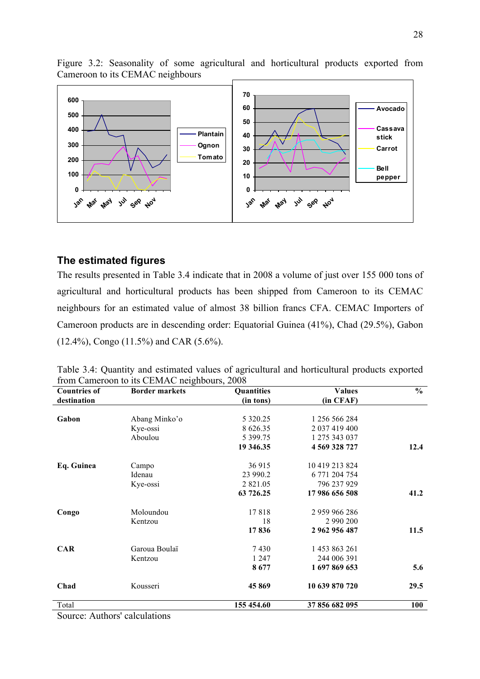Figure 3.2: Seasonality of some agricultural and horticultural products exported from Cameroon to its CEMAC neighbours



### **The estimated figures**

The results presented in Table 3.4 indicate that in 2008 a volume of just over 155 000 tons of agricultural and horticultural products has been shipped from Cameroon to its CEMAC neighbours for an estimated value of almost 38 billion francs CFA. CEMAC Importers of Cameroon products are in descending order: Equatorial Guinea (41%), Chad (29.5%), Gabon (12.4%), Congo (11.5%) and CAR (5.6%).

| <b>Countries of</b>           | <b>Border markets</b> | Quantities    | <b>Values</b>  | $\frac{6}{6}$ |
|-------------------------------|-----------------------|---------------|----------------|---------------|
| destination                   |                       | (in tons)     | (in CFAF)      |               |
|                               |                       |               |                |               |
| Gabon                         | Abang Minko'o         | 5 3 2 0 . 2 5 | 1 256 566 284  |               |
|                               | Kye-ossi              | 8 6 26 35     | 2 037 419 400  |               |
|                               | Aboulou               | 5 399.75      | 1 275 343 037  |               |
|                               |                       | 19 346.35     | 4 569 328 727  | 12.4          |
| Eq. Guinea                    | Campo                 | 36 915        | 10 419 213 824 |               |
|                               | Idenau                | 23 990.2      | 6 771 204 754  |               |
|                               | Kye-ossi              | 2 8 2 1 .05   | 796 237 929    |               |
|                               |                       | 63 726.25     | 17 986 656 508 | 41.2          |
| Congo                         | Moloundou             | 17818         | 2 959 966 286  |               |
|                               | Kentzou               | 18            | 2 990 200      |               |
|                               |                       | 17836         | 2 962 956 487  | 11.5          |
| <b>CAR</b>                    | Garoua Boulaï         | 7430          | 1453 863 261   |               |
|                               | Kentzou               | 1 2 4 7       | 244 006 391    |               |
|                               |                       | 8677          | 1697869653     | 5.6           |
| Chad                          | Kousseri              | 45869         | 10 639 870 720 | 29.5          |
| Total                         |                       | 155 454.60    | 37 856 682 095 | <b>100</b>    |
| Source: Authors' calculations |                       |               |                |               |

Table 3.4: Quantity and estimated values of agricultural and horticultural products exported from Cameroon to its CEMAC neighbours, 2008

Source: Authors' calculations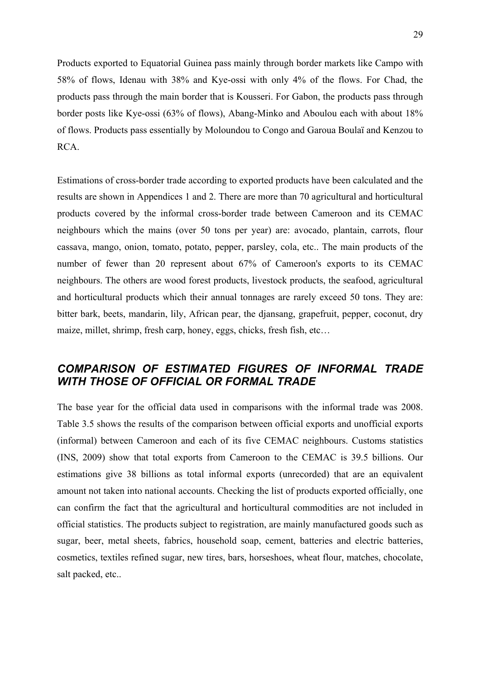Products exported to Equatorial Guinea pass mainly through border markets like Campo with 58% of flows, Idenau with 38% and Kye-ossi with only 4% of the flows. For Chad, the products pass through the main border that is Kousseri. For Gabon, the products pass through border posts like Kye-ossi (63% of flows), Abang-Minko and Aboulou each with about 18% of flows. Products pass essentially by Moloundou to Congo and Garoua Boulaï and Kenzou to RCA.

Estimations of cross-border trade according to exported products have been calculated and the results are shown in Appendices 1 and 2. There are more than 70 agricultural and horticultural products covered by the informal cross-border trade between Cameroon and its CEMAC neighbours which the mains (over 50 tons per year) are: avocado, plantain, carrots, flour cassava, mango, onion, tomato, potato, pepper, parsley, cola, etc.. The main products of the number of fewer than 20 represent about 67% of Cameroon's exports to its CEMAC neighbours. The others are wood forest products, livestock products, the seafood, agricultural and horticultural products which their annual tonnages are rarely exceed 50 tons. They are: bitter bark, beets, mandarin, lily, African pear, the djansang, grapefruit, pepper, coconut, dry maize, millet, shrimp, fresh carp, honey, eggs, chicks, fresh fish, etc…

# *COMPARISON OF ESTIMATED FIGURES OF INFORMAL TRADE WITH THOSE OF OFFICIAL OR FORMAL TRADE*

The base year for the official data used in comparisons with the informal trade was 2008. Table 3.5 shows the results of the comparison between official exports and unofficial exports (informal) between Cameroon and each of its five CEMAC neighbours. Customs statistics (INS, 2009) show that total exports from Cameroon to the CEMAC is 39.5 billions. Our estimations give 38 billions as total informal exports (unrecorded) that are an equivalent amount not taken into national accounts. Checking the list of products exported officially, one can confirm the fact that the agricultural and horticultural commodities are not included in official statistics. The products subject to registration, are mainly manufactured goods such as sugar, beer, metal sheets, fabrics, household soap, cement, batteries and electric batteries, cosmetics, textiles refined sugar, new tires, bars, horseshoes, wheat flour, matches, chocolate, salt packed, etc..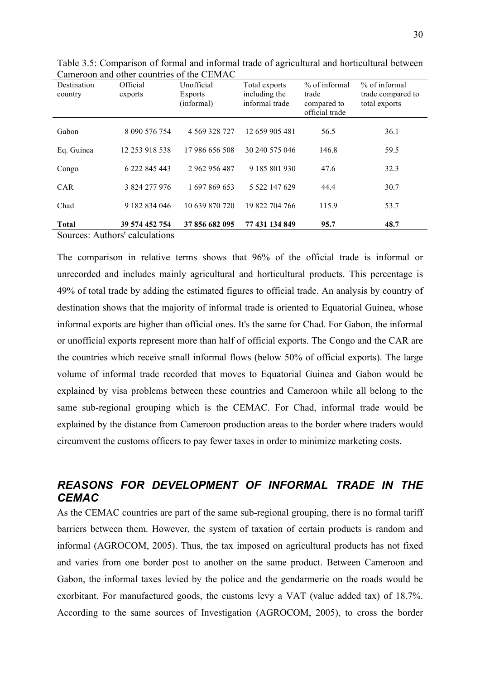| Destination<br>country | Official<br>exports | Unofficial<br>Exports<br>(informal) | Total exports<br>including the<br>informal trade | % of informal<br>trade<br>compared to<br>official trade | % of informal<br>trade compared to<br>total exports |
|------------------------|---------------------|-------------------------------------|--------------------------------------------------|---------------------------------------------------------|-----------------------------------------------------|
| Gabon                  | 8 090 576 754       | 4 5 69 3 28 7 27                    | 12 659 905 481                                   | 56.5                                                    | 36.1                                                |
| Eq. Guinea             | 12 253 918 538      | 17 986 656 508                      | 30 240 575 046                                   | 146.8                                                   | 59.5                                                |
| Congo                  | 6 222 845 443       | 2 962 956 487                       | 9 185 801 930                                    | 47.6                                                    | 32.3                                                |
| <b>CAR</b>             | 3 824 277 976       | 1 697 869 653                       | 5 522 147 629                                    | 44.4                                                    | 30.7                                                |
| Chad                   | 9 182 834 046       | 10 639 870 720                      | 19 822 704 766                                   | 115.9                                                   | 53.7                                                |
| <b>Total</b>           | 39 574 452 754      | 37 856 682 095                      | 77 431 134 849                                   | 95.7                                                    | 48.7                                                |

Table 3.5: Comparison of formal and informal trade of agricultural and horticultural between Cameroon and other countries of the CEMAC

Sources: Authors' calculations

The comparison in relative terms shows that 96% of the official trade is informal or unrecorded and includes mainly agricultural and horticultural products. This percentage is 49% of total trade by adding the estimated figures to official trade. An analysis by country of destination shows that the majority of informal trade is oriented to Equatorial Guinea, whose informal exports are higher than official ones. It's the same for Chad. For Gabon, the informal or unofficial exports represent more than half of official exports. The Congo and the CAR are the countries which receive small informal flows (below 50% of official exports). The large volume of informal trade recorded that moves to Equatorial Guinea and Gabon would be explained by visa problems between these countries and Cameroon while all belong to the same sub-regional grouping which is the CEMAC. For Chad, informal trade would be explained by the distance from Cameroon production areas to the border where traders would circumvent the customs officers to pay fewer taxes in order to minimize marketing costs.

# *REASONS FOR DEVELOPMENT OF INFORMAL TRADE IN THE CEMAC*

As the CEMAC countries are part of the same sub-regional grouping, there is no formal tariff barriers between them. However, the system of taxation of certain products is random and informal (AGROCOM, 2005). Thus, the tax imposed on agricultural products has not fixed and varies from one border post to another on the same product. Between Cameroon and Gabon, the informal taxes levied by the police and the gendarmerie on the roads would be exorbitant. For manufactured goods, the customs levy a VAT (value added tax) of 18.7%. According to the same sources of Investigation (AGROCOM, 2005), to cross the border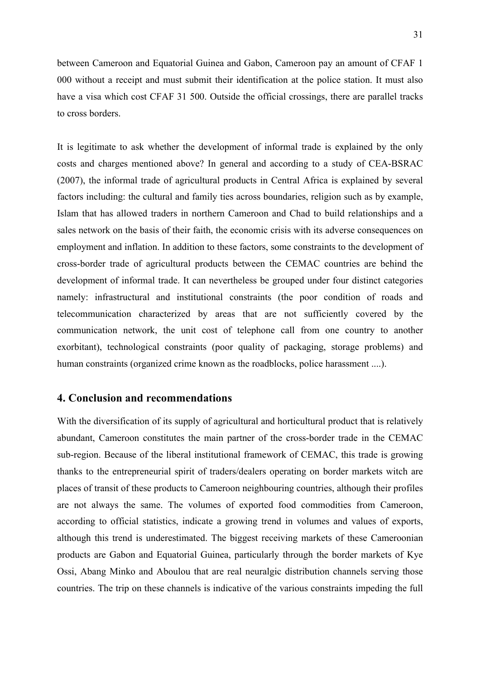between Cameroon and Equatorial Guinea and Gabon, Cameroon pay an amount of CFAF 1 000 without a receipt and must submit their identification at the police station. It must also have a visa which cost CFAF 31 500. Outside the official crossings, there are parallel tracks to cross borders.

It is legitimate to ask whether the development of informal trade is explained by the only costs and charges mentioned above? In general and according to a study of CEA-BSRAC (2007), the informal trade of agricultural products in Central Africa is explained by several factors including: the cultural and family ties across boundaries, religion such as by example, Islam that has allowed traders in northern Cameroon and Chad to build relationships and a sales network on the basis of their faith, the economic crisis with its adverse consequences on employment and inflation. In addition to these factors, some constraints to the development of cross-border trade of agricultural products between the CEMAC countries are behind the development of informal trade. It can nevertheless be grouped under four distinct categories namely: infrastructural and institutional constraints (the poor condition of roads and telecommunication characterized by areas that are not sufficiently covered by the communication network, the unit cost of telephone call from one country to another exorbitant), technological constraints (poor quality of packaging, storage problems) and human constraints (organized crime known as the roadblocks, police harassment ....).

#### **4. Conclusion and recommendations**

With the diversification of its supply of agricultural and horticultural product that is relatively abundant, Cameroon constitutes the main partner of the cross-border trade in the CEMAC sub-region. Because of the liberal institutional framework of CEMAC, this trade is growing thanks to the entrepreneurial spirit of traders/dealers operating on border markets witch are places of transit of these products to Cameroon neighbouring countries, although their profiles are not always the same. The volumes of exported food commodities from Cameroon, according to official statistics, indicate a growing trend in volumes and values of exports, although this trend is underestimated. The biggest receiving markets of these Cameroonian products are Gabon and Equatorial Guinea, particularly through the border markets of Kye Ossi, Abang Minko and Aboulou that are real neuralgic distribution channels serving those countries. The trip on these channels is indicative of the various constraints impeding the full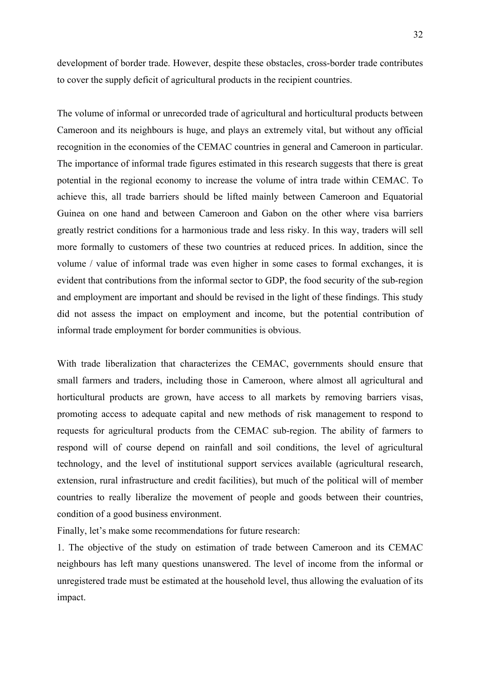development of border trade. However, despite these obstacles, cross-border trade contributes to cover the supply deficit of agricultural products in the recipient countries.

The volume of informal or unrecorded trade of agricultural and horticultural products between Cameroon and its neighbours is huge, and plays an extremely vital, but without any official recognition in the economies of the CEMAC countries in general and Cameroon in particular. The importance of informal trade figures estimated in this research suggests that there is great potential in the regional economy to increase the volume of intra trade within CEMAC. To achieve this, all trade barriers should be lifted mainly between Cameroon and Equatorial Guinea on one hand and between Cameroon and Gabon on the other where visa barriers greatly restrict conditions for a harmonious trade and less risky. In this way, traders will sell more formally to customers of these two countries at reduced prices. In addition, since the volume / value of informal trade was even higher in some cases to formal exchanges, it is evident that contributions from the informal sector to GDP, the food security of the sub-region and employment are important and should be revised in the light of these findings. This study did not assess the impact on employment and income, but the potential contribution of informal trade employment for border communities is obvious.

With trade liberalization that characterizes the CEMAC, governments should ensure that small farmers and traders, including those in Cameroon, where almost all agricultural and horticultural products are grown, have access to all markets by removing barriers visas, promoting access to adequate capital and new methods of risk management to respond to requests for agricultural products from the CEMAC sub-region. The ability of farmers to respond will of course depend on rainfall and soil conditions, the level of agricultural technology, and the level of institutional support services available (agricultural research, extension, rural infrastructure and credit facilities), but much of the political will of member countries to really liberalize the movement of people and goods between their countries, condition of a good business environment.

Finally, let's make some recommendations for future research:

1. The objective of the study on estimation of trade between Cameroon and its CEMAC neighbours has left many questions unanswered. The level of income from the informal or unregistered trade must be estimated at the household level, thus allowing the evaluation of its impact.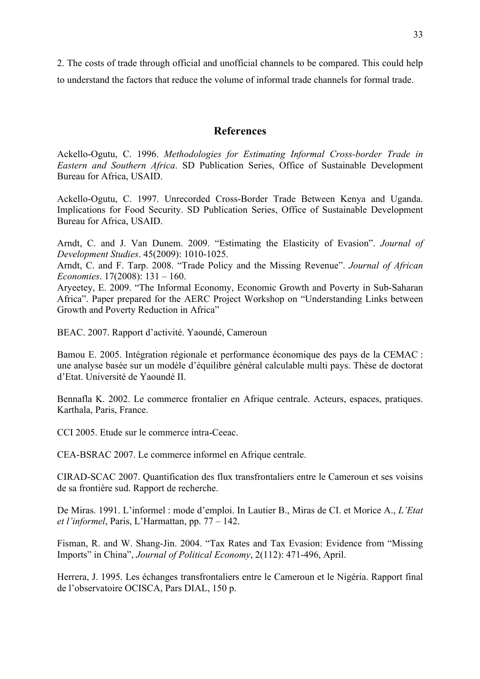2. The costs of trade through official and unofficial channels to be compared. This could help to understand the factors that reduce the volume of informal trade channels for formal trade.

### **References**

Ackello-Ogutu, C. 1996. *Methodologies for Estimating Informal Cross-border Trade in Eastern and Southern Africa*. SD Publication Series, Office of Sustainable Development Bureau for Africa, USAID.

Ackello-Ogutu, C. 1997. Unrecorded Cross-Border Trade Between Kenya and Uganda. Implications for Food Security. SD Publication Series, Office of Sustainable Development Bureau for Africa, USAID.

Arndt, C. and J. Van Dunem. 2009. "Estimating the Elasticity of Evasion". *Journal of Development Studies*. 45(2009): 1010-1025.

Arndt, C. and F. Tarp. 2008. "Trade Policy and the Missing Revenue". *Journal of African Economies*. 17(2008): 131 – 160.

Aryeetey, E. 2009. "The Informal Economy, Economic Growth and Poverty in Sub-Saharan Africa". Paper prepared for the AERC Project Workshop on "Understanding Links between Growth and Poverty Reduction in Africa"

BEAC. 2007. Rapport d'activité. Yaoundé, Cameroun

Bamou E. 2005. Intégration régionale et performance économique des pays de la CEMAC : une analyse basée sur un modèle d'équilibre général calculable multi pays. Thèse de doctorat d'Etat. Université de Yaoundé II.

Bennafla K. 2002. Le commerce frontalier en Afrique centrale. Acteurs, espaces, pratiques. Karthala, Paris, France.

CCI 2005. Etude sur le commerce intra-Ceeac.

CEA-BSRAC 2007. Le commerce informel en Afrique centrale.

CIRAD-SCAC 2007. Quantification des flux transfrontaliers entre le Cameroun et ses voisins de sa frontière sud. Rapport de recherche.

De Miras. 1991. L'informel : mode d'emploi. In Lautier B., Miras de CI. et Morice A., *L'Etat et l'informel*, Paris, L'Harmattan, pp. 77 – 142.

Fisman, R. and W. Shang-Jin. 2004. "Tax Rates and Tax Evasion: Evidence from "Missing Imports" in China", *Journal of Political Economy*, 2(112): 471-496, April.

Herrera, J. 1995. Les échanges transfrontaliers entre le Cameroun et le Nigéria. Rapport final de l'observatoire OCISCA, Pars DIAL, 150 p.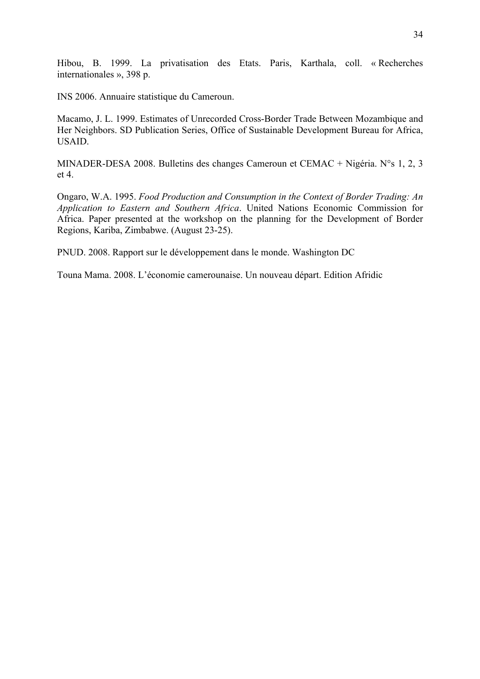Hibou, B. 1999. La privatisation des Etats. Paris, Karthala, coll. « Recherches internationales », 398 p.

INS 2006. Annuaire statistique du Cameroun.

Macamo, J. L. 1999. Estimates of Unrecorded Cross-Border Trade Between Mozambique and Her Neighbors. SD Publication Series, Office of Sustainable Development Bureau for Africa, USAID.

MINADER-DESA 2008. Bulletins des changes Cameroun et CEMAC + Nigéria. N°s 1, 2, 3 et 4.

Ongaro, W.A. 1995. *Food Production and Consumption in the Context of Border Trading: An Application to Eastern and Southern Africa*. United Nations Economic Commission for Africa. Paper presented at the workshop on the planning for the Development of Border Regions, Kariba, Zimbabwe. (August 23-25).

PNUD. 2008. Rapport sur le développement dans le monde. Washington DC

Touna Mama. 2008. L'économie camerounaise. Un nouveau départ. Edition Afridic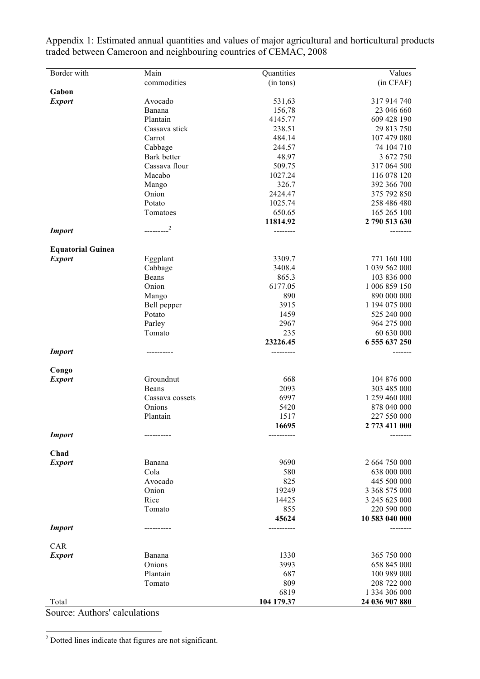Appendix 1: Estimated annual quantities and values of major agricultural and horticultural products traded between Cameroon and neighbouring countries of CEMAC, 2008

<sup>2</sup> Dotted lines indicate that figures are not significant.

Source: Authors' calculations